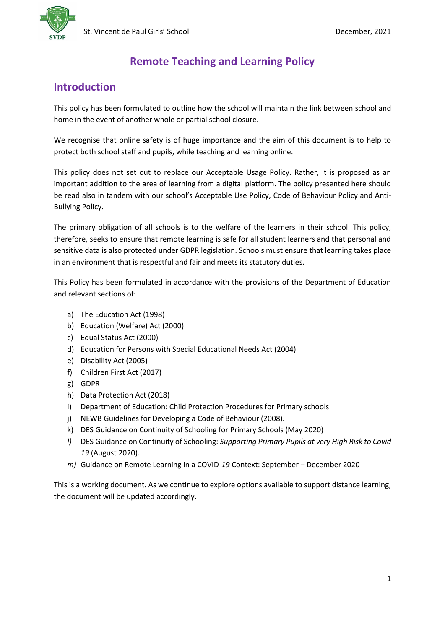

# **Remote Teaching and Learning Policy**

# **Introduction**

This policy has been formulated to outline how the school will maintain the link between school and home in the event of another whole or partial school closure.

We recognise that online safety is of huge importance and the aim of this document is to help to protect both school staff and pupils, while teaching and learning online.

This policy does not set out to replace our Acceptable Usage Policy. Rather, it is proposed as an important addition to the area of learning from a digital platform. The policy presented here should be read also in tandem with our school's Acceptable Use Policy, Code of Behaviour Policy and Anti-Bullying Policy.

The primary obligation of all schools is to the welfare of the learners in their school. This policy, therefore, seeks to ensure that remote learning is safe for all student learners and that personal and sensitive data is also protected under GDPR legislation. Schools must ensure that learning takes place in an environment that is respectful and fair and meets its statutory duties.

This Policy has been formulated in accordance with the provisions of the Department of Education and relevant sections of:

- a) The Education Act (1998)
- b) Education (Welfare) Act (2000)
- c) Equal Status Act (2000)
- d) Education for Persons with Special Educational Needs Act (2004)
- e) Disability Act (2005)
- f) Children First Act (2017)
- g) GDPR
- h) Data Protection Act (2018)
- i) Department of Education: Child Protection Procedures for Primary schools
- j) NEWB Guidelines for Developing a Code of Behaviour (2008).
- k) DES Guidance on Continuity of Schooling for Primary Schools (May 2020)
- *l)* DES Guidance on Continuity of Schooling: *Supporting Primary Pupils at very High Risk to Covid 19* (August 2020)*.*
- *m)* Guidance on Remote Learning in a COVID-*19* Context: September December 2020

This is a working document. As we continue to explore options available to support distance learning, the document will be updated accordingly.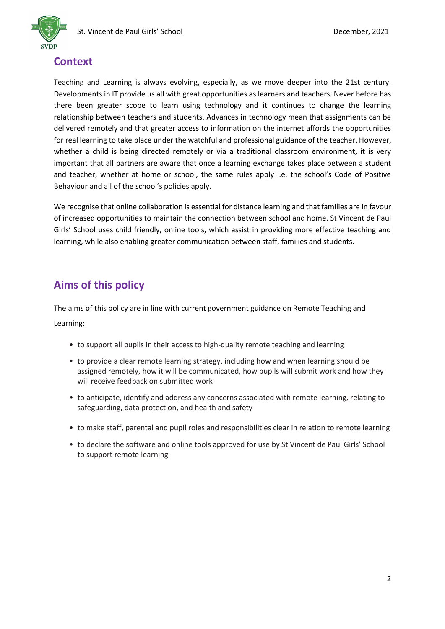

# **Context**

Teaching and Learning is always evolving, especially, as we move deeper into the 21st century. Developments in IT provide us all with great opportunities as learners and teachers. Never before has there been greater scope to learn using technology and it continues to change the learning relationship between teachers and students. Advances in technology mean that assignments can be delivered remotely and that greater access to information on the internet affords the opportunities for real learning to take place under the watchful and professional guidance of the teacher. However, whether a child is being directed remotely or via a traditional classroom environment, it is very important that all partners are aware that once a learning exchange takes place between a student and teacher, whether at home or school, the same rules apply i.e. the school's Code of Positive Behaviour and all of the school's policies apply.

We recognise that online collaboration is essential for distance learning and that families are in favour of increased opportunities to maintain the connection between school and home. St Vincent de Paul Girls' School uses child friendly, online tools, which assist in providing more effective teaching and learning, while also enabling greater communication between staff, families and students.

# **Aims of this policy**

The aims of this policy are in line with current government guidance on Remote Teaching and Learning:

- to support all pupils in their access to high-quality remote teaching and learning
- to provide a clear remote learning strategy, including how and when learning should be assigned remotely, how it will be communicated, how pupils will submit work and how they will receive feedback on submitted work
- to anticipate, identify and address any concerns associated with remote learning, relating to safeguarding, data protection, and health and safety
- to make staff, parental and pupil roles and responsibilities clear in relation to remote learning
- to declare the software and online tools approved for use by St Vincent de Paul Girls' School to support remote learning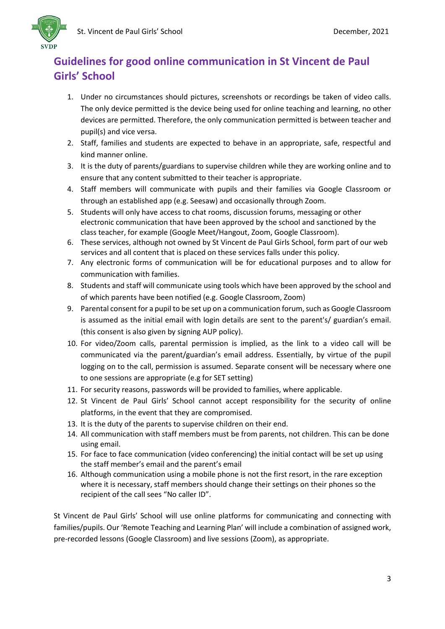

# **Guidelines for good online communication in St Vincent de Paul Girls' School**

- 1. Under no circumstances should pictures, screenshots or recordings be taken of video calls. The only device permitted is the device being used for online teaching and learning, no other devices are permitted. Therefore, the only communication permitted is between teacher and pupil(s) and vice versa.
- 2. Staff, families and students are expected to behave in an appropriate, safe, respectful and kind manner online.
- 3. It is the duty of parents/guardians to supervise children while they are working online and to ensure that any content submitted to their teacher is appropriate.
- 4. Staff members will communicate with pupils and their families via Google Classroom or through an established app (e.g. Seesaw) and occasionally through Zoom.
- 5. Students will only have access to chat rooms, discussion forums, messaging or other electronic communication that have been approved by the school and sanctioned by the class teacher, for example (Google Meet/Hangout, Zoom, Google Classroom).
- 6. These services, although not owned by St Vincent de Paul Girls School, form part of our web services and all content that is placed on these services falls under this policy.
- 7. Any electronic forms of communication will be for educational purposes and to allow for communication with families.
- 8. Students and staff will communicate using tools which have been approved by the school and of which parents have been notified (e.g. Google Classroom, Zoom)
- 9. Parental consent for a pupil to be set up on a communication forum, such as Google Classroom is assumed as the initial email with login details are sent to the parent's/ guardian's email. (this consent is also given by signing AUP policy).
- 10. For video/Zoom calls, parental permission is implied, as the link to a video call will be communicated via the parent/guardian's email address. Essentially, by virtue of the pupil logging on to the call, permission is assumed. Separate consent will be necessary where one to one sessions are appropriate (e.g for SET setting)
- 11. For security reasons, passwords will be provided to families, where applicable.
- 12. St Vincent de Paul Girls' School cannot accept responsibility for the security of online platforms, in the event that they are compromised.
- 13. It is the duty of the parents to supervise children on their end.
- 14. All communication with staff members must be from parents, not children. This can be done using email.
- 15. For face to face communication (video conferencing) the initial contact will be set up using the staff member's email and the parent's email
- 16. Although communication using a mobile phone is not the first resort, in the rare exception where it is necessary, staff members should change their settings on their phones so the recipient of the call sees "No caller ID".

St Vincent de Paul Girls' School will use online platforms for communicating and connecting with families/pupils. Our 'Remote Teaching and Learning Plan' will include a combination of assigned work, pre-recorded lessons (Google Classroom) and live sessions (Zoom), as appropriate.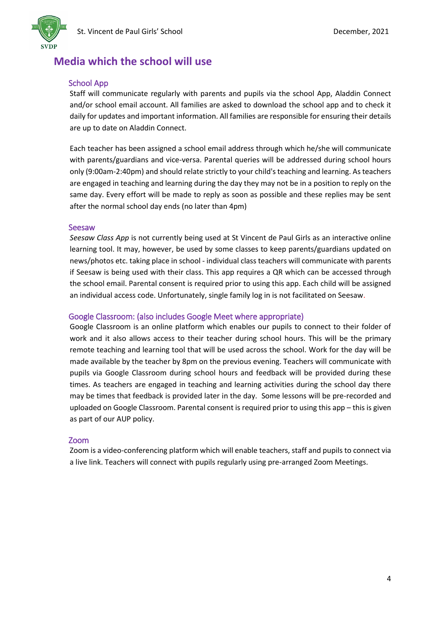

### **Media which the school will use**

### School App

Staff will communicate regularly with parents and pupils via the school App, Aladdin Connect and/or school email account. All families are asked to download the school app and to check it daily for updates and important information. All families are responsible for ensuring their details are up to date on Aladdin Connect.

Each teacher has been assigned a school email address through which he/she will communicate with parents/guardians and vice-versa. Parental queries will be addressed during school hours only (9:00am-2:40pm) and should relate strictly to your child's teaching and learning. As teachers are engaged in teaching and learning during the day they may not be in a position to reply on the same day. Every effort will be made to reply as soon as possible and these replies may be sent after the normal school day ends (no later than 4pm)

#### Seesaw

*Seesaw Class App* is not currently being used at St Vincent de Paul Girls as an interactive online learning tool. It may, however, be used by some classes to keep parents/guardians updated on news/photos etc. taking place in school - individual class teachers will communicate with parents if Seesaw is being used with their class. This app requires a QR which can be accessed through the school email. Parental consent is required prior to using this app. Each child will be assigned an individual access code. Unfortunately, single family log in is not facilitated on Seesaw.

### Google Classroom: (also includes Google Meet where appropriate)

Google Classroom is an online platform which enables our pupils to connect to their folder of work and it also allows access to their teacher during school hours. This will be the primary remote teaching and learning tool that will be used across the school. Work for the day will be made available by the teacher by 8pm on the previous evening. Teachers will communicate with pupils via Google Classroom during school hours and feedback will be provided during these times. As teachers are engaged in teaching and learning activities during the school day there may be times that feedback is provided later in the day. Some lessons will be pre-recorded and uploaded on Google Classroom. Parental consent is required prior to using this app – this is given as part of our AUP policy.

### Zoom

Zoom is a video-conferencing platform which will enable teachers, staff and pupils to connect via a live link. Teachers will connect with pupils regularly using pre-arranged Zoom Meetings.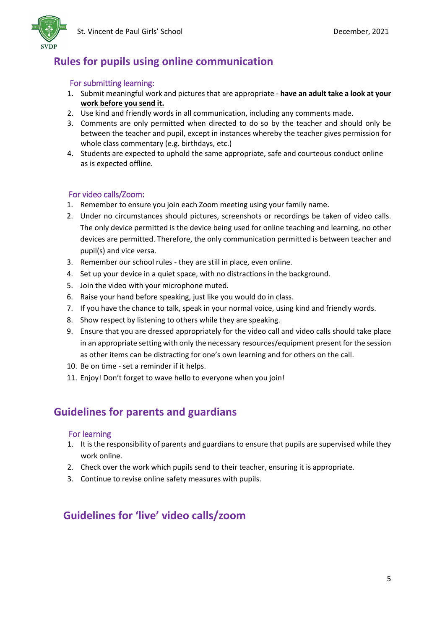

# **Rules for pupils using online communication**

### For submitting learning:

- 1. Submit meaningful work and pictures that are appropriate **have an adult take a look at your work before you send it.**
- 2. Use kind and friendly words in all communication, including any comments made.
- 3. Comments are only permitted when directed to do so by the teacher and should only be between the teacher and pupil, except in instances whereby the teacher gives permission for whole class commentary (e.g. birthdays, etc.)
- 4. Students are expected to uphold the same appropriate, safe and courteous conduct online as is expected offline.

### For video calls/Zoom:

- 1. Remember to ensure you join each Zoom meeting using your family name.
- 2. Under no circumstances should pictures, screenshots or recordings be taken of video calls. The only device permitted is the device being used for online teaching and learning, no other devices are permitted. Therefore, the only communication permitted is between teacher and pupil(s) and vice versa.
- 3. Remember our school rules they are still in place, even online.
- 4. Set up your device in a quiet space, with no distractions in the background.
- 5. Join the video with your microphone muted.
- 6. Raise your hand before speaking, just like you would do in class.
- 7. If you have the chance to talk, speak in your normal voice, using kind and friendly words.
- 8. Show respect by listening to others while they are speaking.
- 9. Ensure that you are dressed appropriately for the video call and video calls should take place in an appropriate setting with only the necessary resources/equipment present for the session as other items can be distracting for one's own learning and for others on the call.
- 10. Be on time set a reminder if it helps.
- 11. Enjoy! Don't forget to wave hello to everyone when you join!

### **Guidelines for parents and guardians**

### For learning

- 1. It is the responsibility of parents and guardians to ensure that pupils are supervised while they work online.
- 2. Check over the work which pupils send to their teacher, ensuring it is appropriate.
- 3. Continue to revise online safety measures with pupils.

# **Guidelines for 'live' video calls/zoom**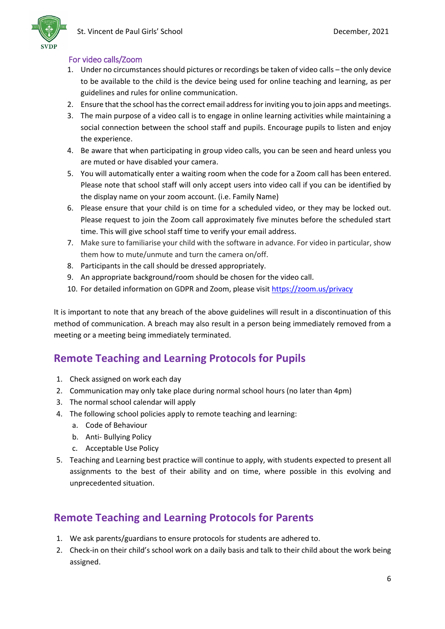

### For video calls/Zoom

- 1. Under no circumstances should pictures or recordings be taken of video calls the only device to be available to the child is the device being used for online teaching and learning, as per guidelines and rules for online communication.
- 2. Ensure that the school has the correct email address for inviting you to join apps and meetings.
- 3. The main purpose of a video call is to engage in online learning activities while maintaining a social connection between the school staff and pupils. Encourage pupils to listen and enjoy the experience.
- 4. Be aware that when participating in group video calls, you can be seen and heard unless you are muted or have disabled your camera.
- 5. You will automatically enter a waiting room when the code for a Zoom call has been entered. Please note that school staff will only accept users into video call if you can be identified by the display name on your zoom account. (i.e. Family Name)
- 6. Please ensure that your child is on time for a scheduled video, or they may be locked out. Please request to join the Zoom call approximately five minutes before the scheduled start time. This will give school staff time to verify your email address.
- 7. Make sure to familiarise your child with the software in advance. For video in particular, show them how to mute/unmute and turn the camera on/off.
- 8. Participants in the call should be dressed appropriately.
- 9. An appropriate background/room should be chosen for the video call.
- 10. For detailed information on GDPR and Zoom, please visi[t https://zoom.us/privacy](https://zoom.us/privacy)

It is important to note that any breach of the above guidelines will result in a discontinuation of this method of communication. A breach may also result in a person being immediately removed from a meeting or a meeting being immediately terminated.

# **Remote Teaching and Learning Protocols for Pupils**

- 1. Check assigned on work each day
- 2. Communication may only take place during normal school hours (no later than 4pm)
- 3. The normal school calendar will apply
- 4. The following school policies apply to remote teaching and learning:
	- a. Code of Behaviour
	- b. Anti- Bullying Policy
	- c. Acceptable Use Policy
- 5. Teaching and Learning best practice will continue to apply, with students expected to present all assignments to the best of their ability and on time, where possible in this evolving and unprecedented situation.

# **Remote Teaching and Learning Protocols for Parents**

- 1. We ask parents/guardians to ensure protocols for students are adhered to.
- 2. Check-in on their child's school work on a daily basis and talk to their child about the work being assigned.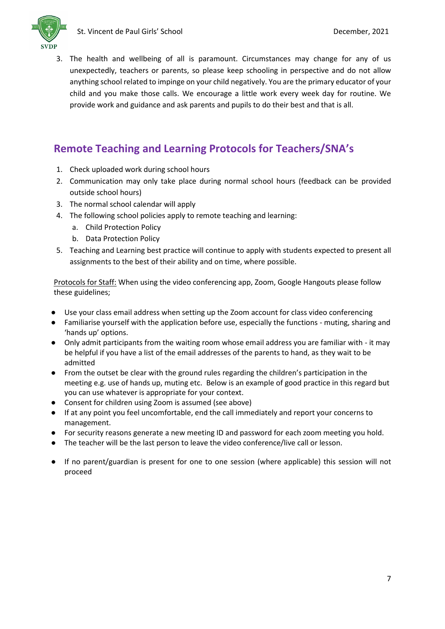

3. The health and wellbeing of all is paramount. Circumstances may change for any of us unexpectedly, teachers or parents, so please keep schooling in perspective and do not allow anything school related to impinge on your child negatively. You are the primary educator of your child and you make those calls. We encourage a little work every week day for routine. We provide work and guidance and ask parents and pupils to do their best and that is all.

# **Remote Teaching and Learning Protocols for Teachers/SNA's**

- 1. Check uploaded work during school hours
- 2. Communication may only take place during normal school hours (feedback can be provided outside school hours)
- 3. The normal school calendar will apply
- 4. The following school policies apply to remote teaching and learning:
	- a. Child Protection Policy
	- b. Data Protection Policy
- 5. Teaching and Learning best practice will continue to apply with students expected to present all assignments to the best of their ability and on time, where possible.

Protocols for Staff: When using the video conferencing app, Zoom, Google Hangouts please follow these guidelines;

- Use your class email address when setting up the Zoom account for class video conferencing
- Familiarise yourself with the application before use, especially the functions muting, sharing and 'hands up' options.
- Only admit participants from the waiting room whose email address you are familiar with it may be helpful if you have a list of the email addresses of the parents to hand, as they wait to be admitted
- From the outset be clear with the ground rules regarding the children's participation in the meeting e.g. use of hands up, muting etc. Below is an example of good practice in this regard but you can use whatever is appropriate for your context.
- Consent for children using Zoom is assumed (see above)
- If at any point you feel uncomfortable, end the call immediately and report your concerns to management.
- For security reasons generate a new meeting ID and password for each zoom meeting you hold.
- The teacher will be the last person to leave the video conference/live call or lesson.
- If no parent/guardian is present for one to one session (where applicable) this session will not proceed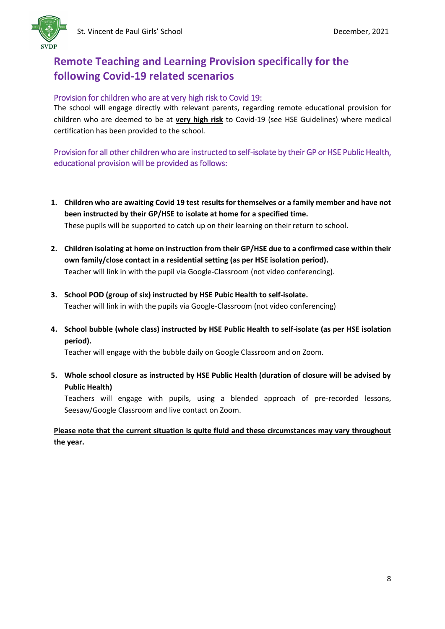

# **Remote Teaching and Learning Provision specifically for the following Covid-19 related scenarios**

### Provision for children who are at very high risk to Covid 19:

The school will engage directly with relevant parents, regarding remote educational provision for children who are deemed to be at **very high risk** to Covid-19 (see HSE Guidelines) where medical certification has been provided to the school.

Provision for all other children who are instructed to self-isolate by their GP or HSE Public Health, educational provision will be provided as follows:

- **1. Children who are awaiting Covid 19 test results for themselves or a family member and have not been instructed by their GP/HSE to isolate at home for a specified time.**  These pupils will be supported to catch up on their learning on their return to school.
- **2. Children isolating at home on instruction from their GP/HSE due to a confirmed case within their own family/close contact in a residential setting (as per HSE isolation period).**  Teacher will link in with the pupil via Google-Classroom (not video conferencing).
- **3. School POD (group of six) instructed by HSE Pubic Health to self-isolate.**  Teacher will link in with the pupils via Google-Classroom (not video conferencing)
- **4. School bubble (whole class) instructed by HSE Public Health to self-isolate (as per HSE isolation period).**

Teacher will engage with the bubble daily on Google Classroom and on Zoom.

**5. Whole school closure as instructed by HSE Public Health (duration of closure will be advised by Public Health)**

Teachers will engage with pupils, using a blended approach of pre-recorded lessons, Seesaw/Google Classroom and live contact on Zoom.

**Please note that the current situation is quite fluid and these circumstances may vary throughout the year.**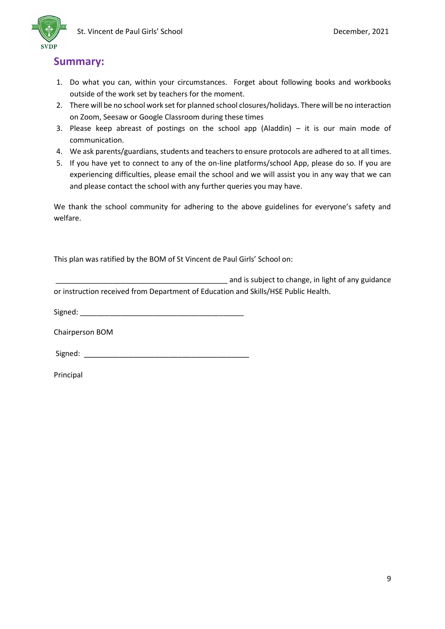

### **Summary:**

- 1. Do what you can, within your circumstances. Forget about following books and workbooks outside of the work set by teachers for the moment.
- 2. There will be no school work set for planned school closures/holidays. There will be no interaction on Zoom, Seesaw or Google Classroom during these times
- 3. Please keep abreast of postings on the school app (Aladdin)  $-$  it is our main mode of communication.
- 4. We ask parents/guardians, students and teachers to ensure protocols are adhered to at all times.
- 5. If you have yet to connect to any of the on-line platforms/school App, please do so. If you are experiencing difficulties, please email the school and we will assist you in any way that we can and please contact the school with any further queries you may have.

We thank the school community for adhering to the above guidelines for everyone's safety and welfare.

This plan was ratified by the BOM of St Vincent de Paul Girls' School on:

|                                                                                    | and is subject to change, in light of any guidance |
|------------------------------------------------------------------------------------|----------------------------------------------------|
| or instruction received from Department of Education and Skills/HSE Public Health. |                                                    |

Signed: \_\_\_\_\_\_\_\_\_\_\_\_\_\_\_\_\_\_\_\_\_\_\_\_\_\_\_\_\_\_\_\_\_\_\_\_\_\_\_\_

Chairperson BOM

 $Signed:$ 

Principal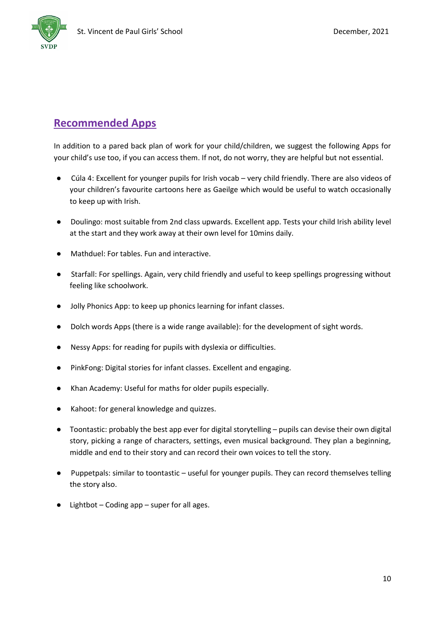

# **Recommended Apps**

In addition to a pared back plan of work for your child/children, we suggest the following Apps for your child's use too, if you can access them. If not, do not worry, they are helpful but not essential.

- Cúla 4: Excellent for younger pupils for Irish vocab very child friendly. There are also videos of your children's favourite cartoons here as Gaeilge which would be useful to watch occasionally to keep up with Irish.
- Doulingo: most suitable from 2nd class upwards. Excellent app. Tests your child Irish ability level at the start and they work away at their own level for 10mins daily.
- Mathduel: For tables. Fun and interactive.
- Starfall: For spellings. Again, very child friendly and useful to keep spellings progressing without feeling like schoolwork.
- Jolly Phonics App: to keep up phonics learning for infant classes.
- Dolch words Apps (there is a wide range available): for the development of sight words.
- Nessy Apps: for reading for pupils with dyslexia or difficulties.
- PinkFong: Digital stories for infant classes. Excellent and engaging.
- Khan Academy: Useful for maths for older pupils especially.
- Kahoot: for general knowledge and quizzes.
- Toontastic: probably the best app ever for digital storytelling pupils can devise their own digital story, picking a range of characters, settings, even musical background. They plan a beginning, middle and end to their story and can record their own voices to tell the story.
- Puppetpals: similar to toontastic useful for younger pupils. They can record themselves telling the story also.
- Lightbot Coding app super for all ages.